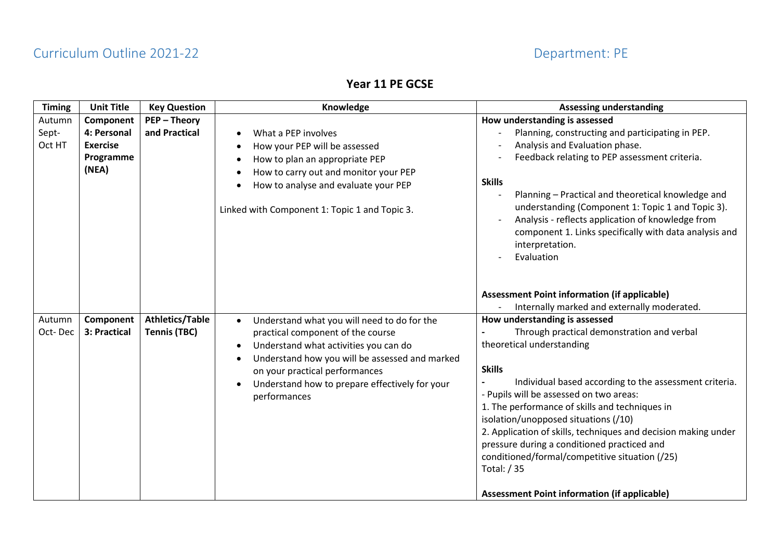## **Year 11 PE GCSE**

| <b>Timing</b>     | <b>Unit Title</b>                                    | <b>Key Question</b>                           | Knowledge                                                                                                                                                                                                                                                                                                 | <b>Assessing understanding</b>                                                                                                                                                                                                                                                                                                                                                                                                                                                                                                                                    |
|-------------------|------------------------------------------------------|-----------------------------------------------|-----------------------------------------------------------------------------------------------------------------------------------------------------------------------------------------------------------------------------------------------------------------------------------------------------------|-------------------------------------------------------------------------------------------------------------------------------------------------------------------------------------------------------------------------------------------------------------------------------------------------------------------------------------------------------------------------------------------------------------------------------------------------------------------------------------------------------------------------------------------------------------------|
| Autumn            | Component                                            | <b>PEP-Theory</b>                             |                                                                                                                                                                                                                                                                                                           | How understanding is assessed                                                                                                                                                                                                                                                                                                                                                                                                                                                                                                                                     |
| Sept-<br>Oct HT   | 4: Personal<br><b>Exercise</b><br>Programme<br>(NEA) | and Practical                                 | What a PEP involves<br>$\bullet$<br>How your PEP will be assessed<br>$\bullet$<br>How to plan an appropriate PEP<br>$\bullet$<br>How to carry out and monitor your PEP<br>$\bullet$<br>How to analyse and evaluate your PEP<br>Linked with Component 1: Topic 1 and Topic 3.                              | Planning, constructing and participating in PEP.<br>Analysis and Evaluation phase.<br>Feedback relating to PEP assessment criteria.<br><b>Skills</b><br>Planning - Practical and theoretical knowledge and<br>understanding (Component 1: Topic 1 and Topic 3).<br>Analysis - reflects application of knowledge from<br>component 1. Links specifically with data analysis and<br>interpretation.<br>Evaluation                                                                                                                                                   |
|                   |                                                      |                                               |                                                                                                                                                                                                                                                                                                           | <b>Assessment Point information (if applicable)</b><br>Internally marked and externally moderated.                                                                                                                                                                                                                                                                                                                                                                                                                                                                |
| Autumn<br>Oct-Dec | Component<br>3: Practical                            | <b>Athletics/Table</b><br><b>Tennis (TBC)</b> | Understand what you will need to do for the<br>practical component of the course<br>Understand what activities you can do<br>$\bullet$<br>Understand how you will be assessed and marked<br>$\bullet$<br>on your practical performances<br>Understand how to prepare effectively for your<br>performances | How understanding is assessed<br>Through practical demonstration and verbal<br>theoretical understanding<br><b>Skills</b><br>Individual based according to the assessment criteria.<br>- Pupils will be assessed on two areas:<br>1. The performance of skills and techniques in<br>isolation/unopposed situations (/10)<br>2. Application of skills, techniques and decision making under<br>pressure during a conditioned practiced and<br>conditioned/formal/competitive situation (/25)<br>Total: / 35<br><b>Assessment Point information (if applicable)</b> |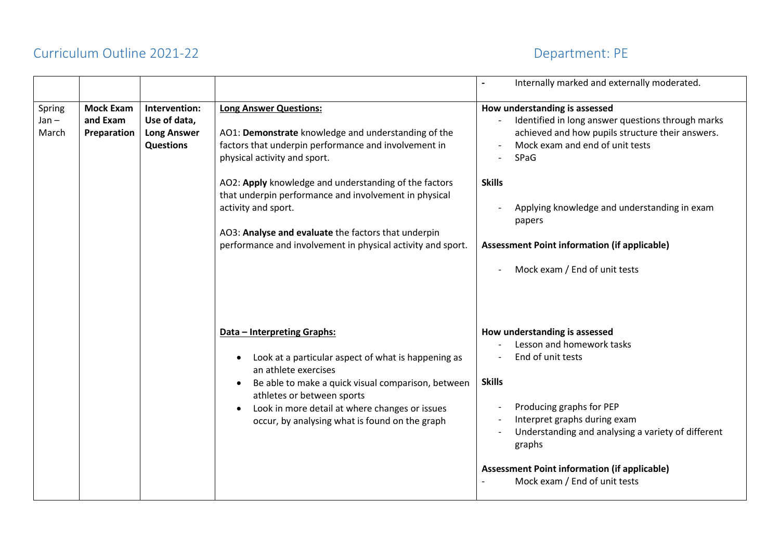|                            |                                             |                                                                         |                                                                                                                                                                                                                                                                                                                              | Internally marked and externally moderated.                                                                                                                                                                                                                                                                                                           |
|----------------------------|---------------------------------------------|-------------------------------------------------------------------------|------------------------------------------------------------------------------------------------------------------------------------------------------------------------------------------------------------------------------------------------------------------------------------------------------------------------------|-------------------------------------------------------------------------------------------------------------------------------------------------------------------------------------------------------------------------------------------------------------------------------------------------------------------------------------------------------|
| Spring<br>$Jan -$<br>March | <b>Mock Exam</b><br>and Exam<br>Preparation | Intervention:<br>Use of data,<br><b>Long Answer</b><br><b>Questions</b> | <b>Long Answer Questions:</b><br>AO1: Demonstrate knowledge and understanding of the<br>factors that underpin performance and involvement in<br>physical activity and sport.                                                                                                                                                 | How understanding is assessed<br>Identified in long answer questions through marks<br>achieved and how pupils structure their answers.<br>Mock exam and end of unit tests<br>SPaG                                                                                                                                                                     |
|                            |                                             |                                                                         | AO2: Apply knowledge and understanding of the factors<br>that underpin performance and involvement in physical<br>activity and sport.<br>AO3: Analyse and evaluate the factors that underpin<br>performance and involvement in physical activity and sport.                                                                  | <b>Skills</b><br>Applying knowledge and understanding in exam<br>papers<br><b>Assessment Point information (if applicable)</b>                                                                                                                                                                                                                        |
|                            |                                             |                                                                         | Data - Interpreting Graphs:<br>Look at a particular aspect of what is happening as<br>an athlete exercises<br>Be able to make a quick visual comparison, between<br>$\bullet$<br>athletes or between sports<br>Look in more detail at where changes or issues<br>$\bullet$<br>occur, by analysing what is found on the graph | Mock exam / End of unit tests<br>How understanding is assessed<br>Lesson and homework tasks<br>End of unit tests<br><b>Skills</b><br>Producing graphs for PEP<br>Interpret graphs during exam<br>Understanding and analysing a variety of different<br>graphs<br><b>Assessment Point information (if applicable)</b><br>Mock exam / End of unit tests |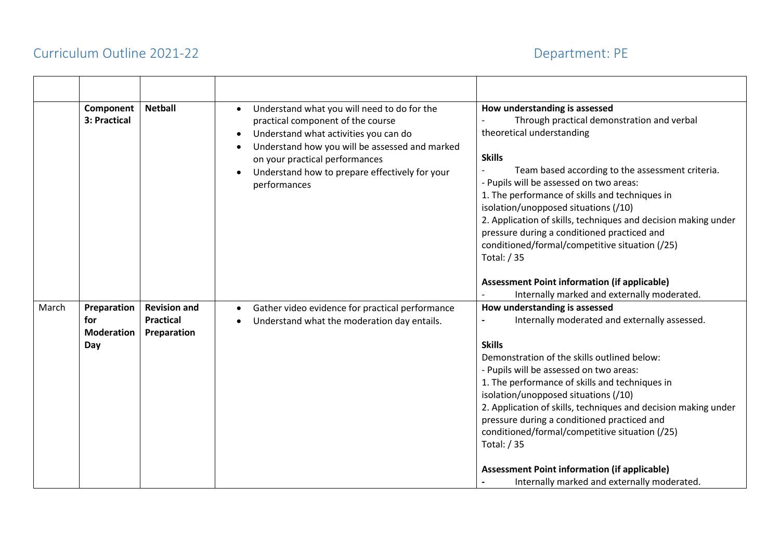|       | Component<br>3: Practical                      | <b>Netball</b>                                         | Understand what you will need to do for the<br>$\bullet$<br>practical component of the course<br>Understand what activities you can do<br>$\bullet$<br>Understand how you will be assessed and marked<br>on your practical performances<br>Understand how to prepare effectively for your<br>performances | How understanding is assessed<br>Through practical demonstration and verbal<br>theoretical understanding<br><b>Skills</b><br>Team based according to the assessment criteria.<br>- Pupils will be assessed on two areas:<br>1. The performance of skills and techniques in<br>isolation/unopposed situations (/10)<br>2. Application of skills, techniques and decision making under<br>pressure during a conditioned practiced and<br>conditioned/formal/competitive situation (/25)<br>Total: / 35 |
|-------|------------------------------------------------|--------------------------------------------------------|-----------------------------------------------------------------------------------------------------------------------------------------------------------------------------------------------------------------------------------------------------------------------------------------------------------|------------------------------------------------------------------------------------------------------------------------------------------------------------------------------------------------------------------------------------------------------------------------------------------------------------------------------------------------------------------------------------------------------------------------------------------------------------------------------------------------------|
|       |                                                |                                                        |                                                                                                                                                                                                                                                                                                           | <b>Assessment Point information (if applicable)</b><br>Internally marked and externally moderated.                                                                                                                                                                                                                                                                                                                                                                                                   |
| March | Preparation<br>for<br><b>Moderation</b><br>Day | <b>Revision and</b><br><b>Practical</b><br>Preparation | Gather video evidence for practical performance<br>Understand what the moderation day entails.                                                                                                                                                                                                            | How understanding is assessed<br>Internally moderated and externally assessed.<br><b>Skills</b><br>Demonstration of the skills outlined below:<br>- Pupils will be assessed on two areas:<br>1. The performance of skills and techniques in<br>isolation/unopposed situations (/10)<br>2. Application of skills, techniques and decision making under<br>pressure during a conditioned practiced and<br>conditioned/formal/competitive situation (/25)<br>Total: / 35                                |
|       |                                                |                                                        |                                                                                                                                                                                                                                                                                                           | <b>Assessment Point information (if applicable)</b><br>Internally marked and externally moderated.                                                                                                                                                                                                                                                                                                                                                                                                   |